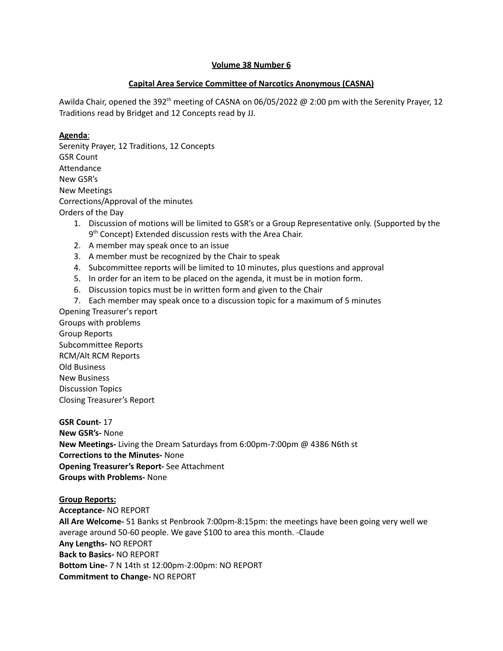### **Volume 38 Number 6**

### **Capital Area Service Committee of Narcotics Anonymous (CASNA)**

Awilda Chair, opened the 392<sup>th</sup> meeting of CASNA on 06/05/2022 @ 2:00 pm with the Serenity Prayer, 12 Traditions read by Bridget and 12 Concepts read by JJ.

### **Agenda**:

Serenity Prayer, 12 Traditions, 12 Concepts GSR Count Attendance New GSR's New Meetings Corrections/Approval of the minutes Orders of the Day

- 1. Discussion of motions will be limited to GSR's or a Group Representative only. (Supported by the 9<sup>th</sup> Concept) Extended discussion rests with the Area Chair.
- 2. A member may speak once to an issue
- 3. A member must be recognized by the Chair to speak
- 4. Subcommittee reports will be limited to 10 minutes, plus questions and approval
- 5. In order for an item to be placed on the agenda, it must be in motion form.
- 6. Discussion topics must be in written form and given to the Chair
- 7. Each member may speak once to a discussion topic for a maximum of 5 minutes

Opening Treasurer's report Groups with problems Group Reports Subcommittee Reports RCM/Alt RCM Reports Old Business New Business Discussion Topics Closing Treasurer's Report

**GSR Count-** 17 **New GSR's-** None **New Meetings-** Living the Dream Saturdays from 6:00pm-7:00pm @ 4386 N6th st **Corrections to the Minutes-** None **Opening Treasurer's Report-** See Attachment **Groups with Problems-** None

#### **Group Reports:**

**Acceptance-** NO REPORT **All Are Welcome-** 51 Banks st Penbrook 7:00pm-8:15pm: the meetings have been going very well we average around 50-60 people. We gave \$100 to area this month. -Claude **Any Lengths-** NO REPORT **Back to Basics-** NO REPORT **Bottom Line-** 7 N 14th st 12:00pm-2:00pm: NO REPORT **Commitment to Change-** NO REPORT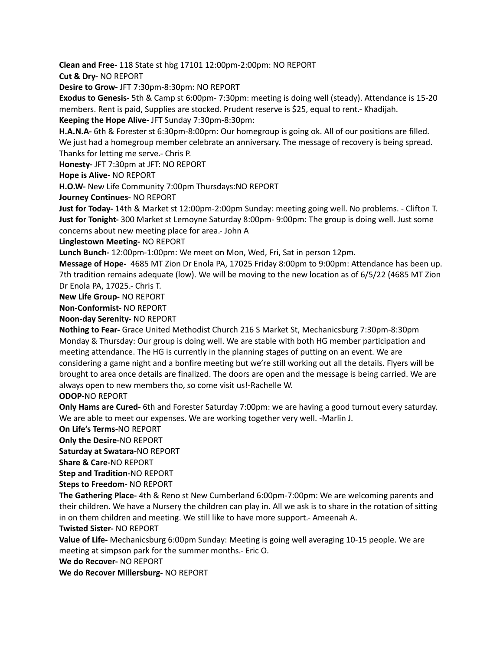**Clean and Free-** 118 State st hbg 17101 12:00pm-2:00pm: NO REPORT

**Cut & Dry-** NO REPORT

**Desire to Grow-** JFT 7:30pm-8:30pm: NO REPORT

**Exodus to Genesis-** 5th & Camp st 6:00pm- 7:30pm: meeting is doing well (steady). Attendance is 15-20 members. Rent is paid, Supplies are stocked. Prudent reserve is \$25, equal to rent.- Khadijah.

**Keeping the Hope Alive-** JFT Sunday 7:30pm-8:30pm:

**H.A.N.A-** 6th & Forester st 6:30pm-8:00pm: Our homegroup is going ok. All of our positions are filled. We just had a homegroup member celebrate an anniversary. The message of recovery is being spread. Thanks for letting me serve.- Chris P.

**Honesty-** JFT 7:30pm at JFT: NO REPORT

**Hope is Alive-** NO REPORT

**H.O.W-** New Life Community 7:00pm Thursdays:NO REPORT

**Journey Continues-** NO REPORT

**Just for Today-** 14th & Market st 12:00pm-2:00pm Sunday: meeting going well. No problems. - Clifton T. **Just for Tonight-** 300 Market st Lemoyne Saturday 8:00pm- 9:00pm: The group is doing well. Just some concerns about new meeting place for area.- John A

**Linglestown Meeting-** NO REPORT

**Lunch Bunch-** 12:00pm-1:00pm: We meet on Mon, Wed, Fri, Sat in person 12pm.

**Message of Hope-** 4685 MT Zion Dr Enola PA, 17025 Friday 8:00pm to 9:00pm: Attendance has been up. 7th tradition remains adequate (low). We will be moving to the new location as of 6/5/22 (4685 MT Zion Dr Enola PA, 17025.- Chris T.

**New Life Group-** NO REPORT

**Non-Conformist-** NO REPORT

**Noon-day Serenity-** NO REPORT

**Nothing to Fear-** Grace United Methodist Church 216 S Market St, Mechanicsburg 7:30pm-8:30pm Monday & Thursday: Our group is doing well. We are stable with both HG member participation and meeting attendance. The HG is currently in the planning stages of putting on an event. We are considering a game night and a bonfire meeting but we're still working out all the details. Flyers will be brought to area once details are finalized. The doors are open and the message is being carried. We are always open to new members tho, so come visit us!-Rachelle W.

### **ODOP-**NO REPORT

**Only Hams are Cured-** 6th and Forester Saturday 7:00pm: we are having a good turnout every saturday. We are able to meet our expenses. We are working together very well. -Marlin J.

**On Life's Terms-**NO REPORT

**Only the Desire-**NO REPORT

**Saturday at Swatara-**NO REPORT

**Share & Care-**NO REPORT

**Step and Tradition-**NO REPORT

**Steps to Freedom-** NO REPORT

**The Gathering Place-** 4th & Reno st New Cumberland 6:00pm-7:00pm: We are welcoming parents and their children. We have a Nursery the children can play in. All we ask is to share in the rotation of sitting in on them children and meeting. We still like to have more support.- Ameenah A.

**Twisted Sister-** NO REPORT

**Value of Life-** Mechanicsburg 6:00pm Sunday: Meeting is going well averaging 10-15 people. We are meeting at simpson park for the summer months.- Eric O.

**We do Recover-** NO REPORT

**We do Recover Millersburg-** NO REPORT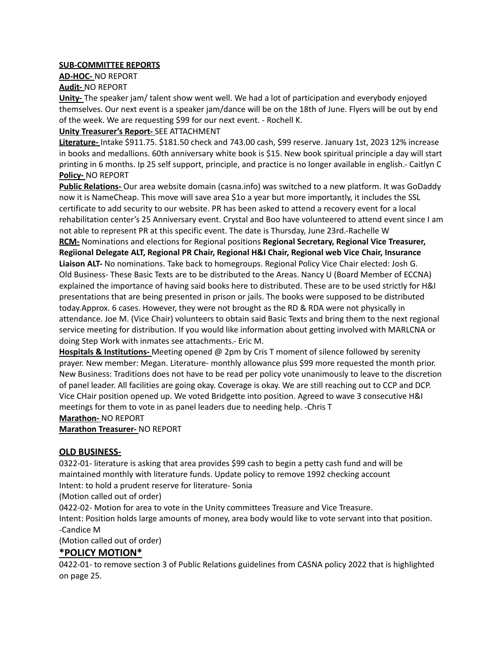### **SUB-COMMITTEE REPORTS**

**AD-HOC-** NO REPORT

**Audit-** NO REPORT

**Unity-** The speaker jam/ talent show went well. We had a lot of participation and everybody enjoyed themselves. Our next event is a speaker jam/dance will be on the 18th of June. Flyers will be out by end of the week. We are requesting \$99 for our next event. - Rochell K.

### **Unity Treasurer's Report-** SEE ATTACHMENT

**Literature-** Intake \$911.75. \$181.50 check and 743.00 cash, \$99 reserve. January 1st, 2023 12% increase in books and medallions. 60th anniversary white book is \$15. New book spiritual principle a day will start printing in 6 months. Ip 25 self support, principle, and practice is no longer available in english.- Caitlyn C **Policy-** NO REPORT

**Public Relations-** Our area website domain (casna.info) was switched to a new platform. It was GoDaddy now it is NameCheap. This move will save area \$1o a year but more importantly, it includes the SSL certificate to add security to our website. PR has been asked to attend a recovery event for a local rehabilitation center's 25 Anniversary event. Crystal and Boo have volunteered to attend event since I am not able to represent PR at this specific event. The date is Thursday, June 23rd.-Rachelle W

**RCM-** Nominations and elections for Regional positions **Regional Secretary, Regional Vice Treasurer, Regiional Delegate ALT, Regional PR Chair, Regional H&I Chair, Regional web Vice Chair, Insurance Liaison ALT-** No nominations. Take back to homegroups. Regional Policy Vice Chair elected: Josh G. Old Business- These Basic Texts are to be distributed to the Areas. Nancy U (Board Member of ECCNA) explained the importance of having said books here to distributed. These are to be used strictly for H&I presentations that are being presented in prison or jails. The books were supposed to be distributed today.Approx. 6 cases. However, they were not brought as the RD & RDA were not physically in attendance. Joe M. (Vice Chair) volunteers to obtain said Basic Texts and bring them to the next regional service meeting for distribution. If you would like information about getting involved with MARLCNA or doing Step Work with inmates see attachments.- Eric M.

**Hospitals & Institutions-** Meeting opened @ 2pm by Cris T moment of silence followed by serenity prayer. New member: Megan. Literature- monthly allowance plus \$99 more requested the month prior. New Business: Traditions does not have to be read per policy vote unanimously to leave to the discretion of panel leader. All facilities are going okay. Coverage is okay. We are still reaching out to CCP and DCP. Vice CHair position opened up. We voted Bridgette into position. Agreed to wave 3 consecutive H&I meetings for them to vote in as panel leaders due to needing help. -Chris T

**Marathon-** NO REPORT

**Marathon Treasurer-** NO REPORT

### **OLD BUSINESS-**

0322-01- literature is asking that area provides \$99 cash to begin a petty cash fund and will be maintained monthly with literature funds. Update policy to remove 1992 checking account Intent: to hold a prudent reserve for literature- Sonia

(Motion called out of order)

0422-02- Motion for area to vote in the Unity committees Treasure and Vice Treasure.

Intent: Position holds large amounts of money, area body would like to vote servant into that position. -Candice M

(Motion called out of order)

### **\*POLICY MOTION\***

0422-01- to remove section 3 of Public Relations guidelines from CASNA policy 2022 that is highlighted on page 25.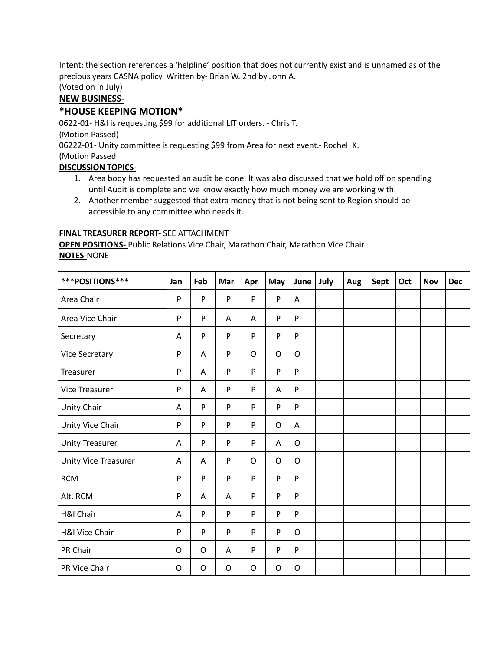Intent: the section references a 'helpline' position that does not currently exist and is unnamed as of the precious years CASNA policy. Written by- Brian W. 2nd by John A.

(Voted on in July)

### **NEW BUSINESS-**

### **\*HOUSE KEEPING MOTION\***

0622-01- H&I is requesting \$99 for additional LIT orders. - Chris T. (Motion Passed) 06222-01- Unity committee is requesting \$99 from Area for next event.- Rochell K. (Motion Passed

### **DISCUSSION TOPICS-**

- 1. Area body has requested an audit be done. It was also discussed that we hold off on spending until Audit is complete and we know exactly how much money we are working with.
- 2. Another member suggested that extra money that is not being sent to Region should be accessible to any committee who needs it.

### **FINAL TREASURER REPORT-** SEE ATTACHMENT

**OPEN POSITIONS-** Public Relations Vice Chair, Marathon Chair, Marathon Vice Chair **NOTES-**NONE

| ***POSITIONS***        | Jan | Feb          | Mar | Apr | May         | June         | July | Aug | Sept | Oct | <b>Nov</b> | <b>Dec</b> |
|------------------------|-----|--------------|-----|-----|-------------|--------------|------|-----|------|-----|------------|------------|
| Area Chair             | P   | P            | P   | P   | P           | Α            |      |     |      |     |            |            |
| Area Vice Chair        | P   | $\mathsf{P}$ | A   | A   | P           | $\mathsf{P}$ |      |     |      |     |            |            |
| Secretary              | Α   | ${\sf P}$    | P   | P   | P           | P            |      |     |      |     |            |            |
| <b>Vice Secretary</b>  | P   | Α            | P   | O   | O           | $\mathsf{O}$ |      |     |      |     |            |            |
| Treasurer              | P   | Α            | P   | P   | P           | $\mathsf{P}$ |      |     |      |     |            |            |
| <b>Vice Treasurer</b>  | P   | Α            | P   | P   | A           | ${\sf P}$    |      |     |      |     |            |            |
| Unity Chair            | A   | P            | P   | P   | P           | P            |      |     |      |     |            |            |
| Unity Vice Chair       | P   | ${\sf P}$    | P   | P   | $\mathsf O$ | Α            |      |     |      |     |            |            |
| <b>Unity Treasurer</b> | Α   | ${\sf P}$    | P   | P   | A           | $\circ$      |      |     |      |     |            |            |
| Unity Vice Treasurer   | A   | Α            | P   | O   | O           | $\circ$      |      |     |      |     |            |            |
| <b>RCM</b>             | P   | P            | P   | P   | P           | $\mathsf{P}$ |      |     |      |     |            |            |
| Alt. RCM               | P   | Α            | A   | P   | P           | ${\sf P}$    |      |     |      |     |            |            |
| H&I Chair              | Α   | $\sf P$      | P   | P   | P           | $\mathsf{P}$ |      |     |      |     |            |            |
| H&I Vice Chair         | P   | ${\sf P}$    | P   | P   | P           | O            |      |     |      |     |            |            |
| PR Chair               | O   | O            | A   | P   | P           | ${\sf P}$    |      |     |      |     |            |            |
| PR Vice Chair          | O   | O            | O   | O   | O           | O            |      |     |      |     |            |            |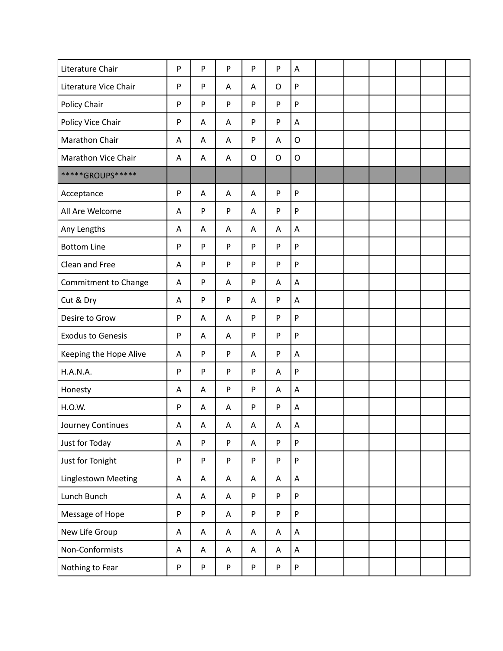| Literature Chair         | ${\sf P}$ | P           | P                         | P       | P           | A                         |  |  |  |
|--------------------------|-----------|-------------|---------------------------|---------|-------------|---------------------------|--|--|--|
| Literature Vice Chair    | ${\sf P}$ | P           | Α                         | Α       | $\circ$     | ${\sf P}$                 |  |  |  |
| Policy Chair             | ${\sf P}$ | P           | P                         | P       | P           | $\mathsf{P}$              |  |  |  |
| Policy Vice Chair        | ${\sf P}$ | Α           | Α                         | P       | P           | A                         |  |  |  |
| Marathon Chair           | Α         | Α           | Α                         | P       | Α           | $\mathsf O$               |  |  |  |
| Marathon Vice Chair      | A         | Α           | Α                         | $\circ$ | $\mathsf O$ | $\mathsf O$               |  |  |  |
| *****GROUPS*****         |           |             |                           |         |             |                           |  |  |  |
| Acceptance               | ${\sf P}$ | A           | A                         | A       | P           | P                         |  |  |  |
| All Are Welcome          | Α         | P           | ${\sf P}$                 | Α       | P           | ${\sf P}$                 |  |  |  |
| Any Lengths              | Α         | Α           | Α                         | Α       | Α           | A                         |  |  |  |
| <b>Bottom Line</b>       | P         | P           | ${\sf P}$                 | P       | P           | ${\sf P}$                 |  |  |  |
| Clean and Free           | Α         | P           | ${\sf P}$                 | P       | P           | $\mathsf{P}$              |  |  |  |
| Commitment to Change     | A         | P           | Α                         | P       | Α           | A                         |  |  |  |
| Cut & Dry                | Α         | P           | ${\sf P}$                 | Α       | P           | Α                         |  |  |  |
| Desire to Grow           | P         | Α           | Α                         | P       | P           | ${\sf P}$                 |  |  |  |
| <b>Exodus to Genesis</b> | ${\sf P}$ | Α           | Α                         | P       | P           | $\mathsf{P}$              |  |  |  |
| Keeping the Hope Alive   | Α         | P           | ${\sf P}$                 | Α       | P           | A                         |  |  |  |
| <b>H.A.N.A.</b>          | ${\sf P}$ | P           | ${\sf P}$                 | P       | A           | $\mathsf{P}$              |  |  |  |
| Honesty                  | Α         | Α           | ${\sf P}$                 | P       | Α           | A                         |  |  |  |
| H.O.W.                   | P         | Α           | A                         | P       | P           | A                         |  |  |  |
| Journey Continues        | A         | $\mathsf A$ | A                         | A       | A           | $\boldsymbol{\mathsf{A}}$ |  |  |  |
| Just for Today           | Α         | P           | P                         | A       | P           | P                         |  |  |  |
| Just for Tonight         | ${\sf P}$ | P           | $\mathsf{P}$              | P       | P           | $\mathsf{P}$              |  |  |  |
| Linglestown Meeting      | Α         | A           | Α                         | Α       | Α           | $\mathsf A$               |  |  |  |
| Lunch Bunch              | Α         | A           | A                         | P       | P           | $\mathsf{P}$              |  |  |  |
| Message of Hope          | ${\sf P}$ | P           | A                         | P       | P           | $\mathsf{P}$              |  |  |  |
| New Life Group           | Α         | Α           | $\boldsymbol{\mathsf{A}}$ | A       | A           | A                         |  |  |  |
| Non-Conformists          | Α         | A           | A                         | A       | Α           | A                         |  |  |  |
| Nothing to Fear          | P         | P           | ${\sf P}$                 | P       | ${\sf P}$   | $\boldsymbol{\mathsf{P}}$ |  |  |  |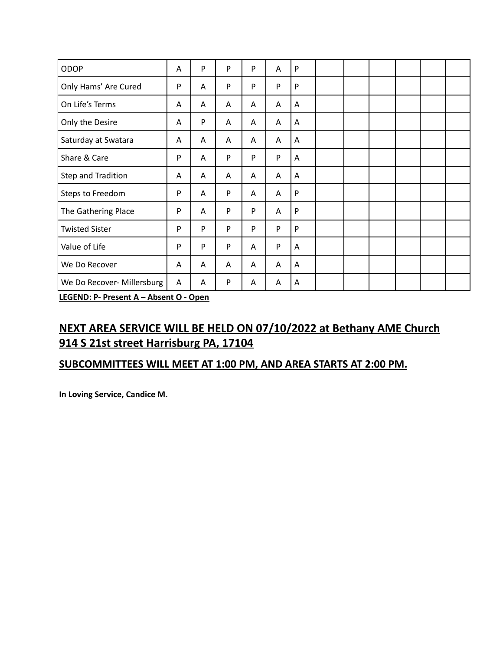| ODOP                       | A | P | P | P | Α | P         |  |  |  |
|----------------------------|---|---|---|---|---|-----------|--|--|--|
| Only Hams' Are Cured       | P | A | P | P | P | P         |  |  |  |
| On Life's Terms            | A | Α | A | Α | A | Α         |  |  |  |
| Only the Desire            | A | P | A | A | A | Α         |  |  |  |
| Saturday at Swatara        | A | Α | A | A | A | A         |  |  |  |
| Share & Care               | P | Α | P | P | P | A         |  |  |  |
| Step and Tradition         | A | Α | A | A | A | Α         |  |  |  |
| Steps to Freedom           | P | Α | P | Α | A | P         |  |  |  |
| The Gathering Place        | P | Α | P | P | Α | ${\sf P}$ |  |  |  |
| <b>Twisted Sister</b>      | P | P | P | P | P | P         |  |  |  |
| Value of Life              | P | P | P | Α | P | Α         |  |  |  |
| We Do Recover              | A | Α | A | A | A | A         |  |  |  |
| We Do Recover- Millersburg | Α | A | P | A | Α | Α         |  |  |  |

**LEGEND: P- Present A – Absent O - Open**

### **NEXT AREA SERVICE WILL BE HELD ON 07/10/2022 at Bethany AME Church 914 S 21st street Harrisburg PA, 17104**

### **SUBCOMMITTEES WILL MEET AT 1:00 PM, AND AREA STARTS AT 2:00 PM.**

**In Loving Service, Candice M.**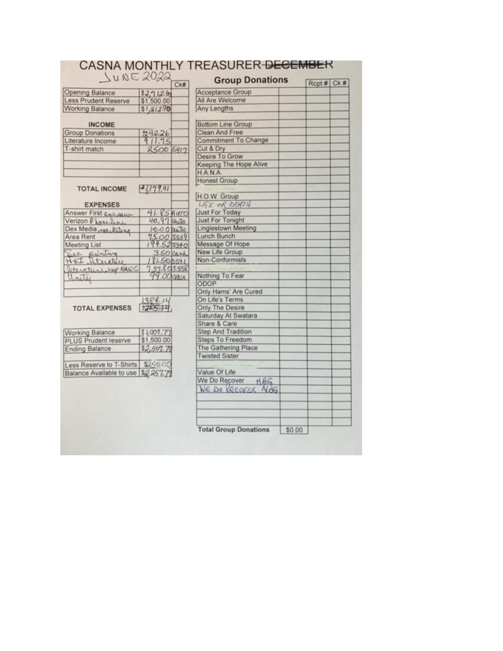| JUNE 2022                           | Ck#                        | <b>Group Donations</b>       |        | Rcpt # Ck # |  |  |
|-------------------------------------|----------------------------|------------------------------|--------|-------------|--|--|
| <b>Opening Balance</b>              | 52,712.90                  | <b>Acceptance Group</b>      |        |             |  |  |
| <b>Less Prudent Reserve</b>         | \$1,500.00                 | All Are Welcome              |        |             |  |  |
| <b>Working Balance</b>              | \$1,312.90                 | Any Lengths                  |        |             |  |  |
| <b>INCOME</b>                       |                            | <b>Bottom Line Group</b>     |        |             |  |  |
| <b>Group Donations</b>              |                            | Clean And Free               |        |             |  |  |
| Literature Income                   | 242.26<br>911.75           | Commitment To Change         |        |             |  |  |
| T-shirt match                       | 2500 5417                  | Cut & Dry                    |        |             |  |  |
|                                     |                            | Desire To Grow               |        |             |  |  |
|                                     |                            | Keeping The Hope Alive       |        |             |  |  |
|                                     |                            | <b>HANA</b>                  |        |             |  |  |
|                                     |                            | <b>Honest Group</b>          |        |             |  |  |
| <b>TOTAL INCOME</b>                 | 1179.01                    |                              |        |             |  |  |
|                                     |                            | H.O.W. Group                 |        |             |  |  |
| <b>EXPENSES</b>                     |                            | LIFE OR DEATH                |        |             |  |  |
| Answer First Reagance               | $41.85$ AUTO               | <b>Just For Today</b>        |        |             |  |  |
| Verizon Plazeline                   | 40,97 auto                 | <b>Just For Tonight</b>      |        |             |  |  |
| Dex Media markiling                 | $10.00$ puts               | <b>Linglestown Meeting</b>   |        |             |  |  |
| Area Rent                           | $75.00$ $3339$             | Lunch Bunch                  |        |             |  |  |
| Meeting List                        | 194.525340                 | Message Of Hope              |        |             |  |  |
| See Runting                         | $3.50$ cash                | New Life Group               |        |             |  |  |
| H+I Stucture                        | 81.505341                  | Non-Conformists              |        |             |  |  |
| literaturesyp NAWS                  | 737.803338                 |                              |        |             |  |  |
| Unity                               | 99.00 CASA                 | Nothing To Fear              |        |             |  |  |
|                                     |                            | ODOP                         |        |             |  |  |
|                                     |                            | Only Hams' Are Cured         |        |             |  |  |
|                                     | 384.14                     | On Life's Terms              |        |             |  |  |
| <b>TOTAL EXPENSES</b>               | 1285.14                    | Only The Desire              |        |             |  |  |
|                                     |                            | Saturday At Swatara          |        |             |  |  |
|                                     |                            | Share & Care                 |        |             |  |  |
| Working Balance                     |                            | <b>Step And Tradition</b>    |        |             |  |  |
| <b>PLUS Prudent reserve</b>         | $$1,007.77$<br>$$1,500.00$ | <b>Steps To Freedom</b>      |        |             |  |  |
| <b>Ending Balance</b>               | \$2,507.72                 | The Gathering Place          |        |             |  |  |
|                                     |                            | <b>Twisted Sister</b>        |        |             |  |  |
| Less Reserve to T-Shirts \$250.00   |                            |                              |        |             |  |  |
| Balance Available to use \$2,257.77 |                            | Value Of Life                |        |             |  |  |
|                                     |                            | We Do Recover<br>HBS         |        |             |  |  |
|                                     |                            | We DO RECOVER NAG            |        |             |  |  |
|                                     |                            |                              |        |             |  |  |
|                                     |                            |                              |        |             |  |  |
|                                     |                            |                              |        |             |  |  |
|                                     |                            |                              |        |             |  |  |
|                                     |                            | <b>Total Group Donations</b> | \$0.00 |             |  |  |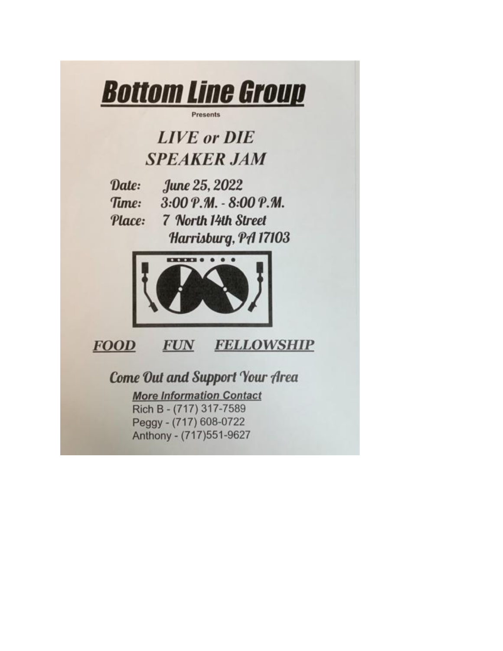

**Presents** 

## **LIVE** or **DIE SPEAKER JAM**

June 25, 2022 Date: 3:00 Р.М. - 8:00 Р.М. Time: 7 North 14th Street Place: Harrisburg, PA 17103



**FOOD FUN FELLOWSHIP** 

**Come Out and Support Your Area** 

**More Information Contact** Rich B - (717) 317-7589 Peggy - (717) 608-0722 Anthony - (717)551-9627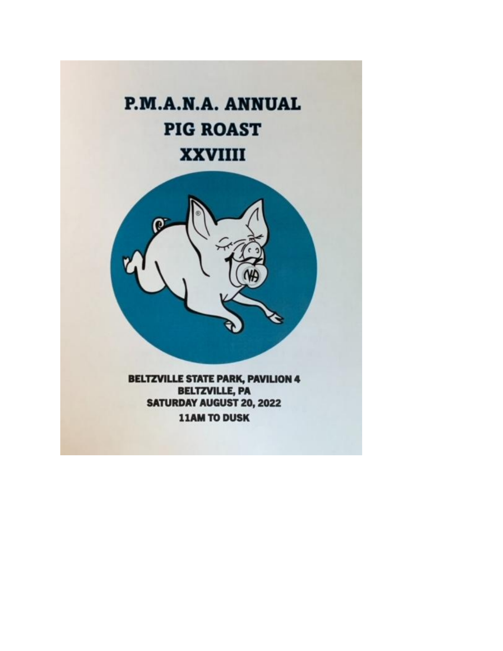# P.M.A.N.A. ANNUAL **PIG ROAST XXVIIII**



**BELTZVILLE STATE PARK, PAVILION 4 BELTZVILLE, PA SATURDAY AUGUST 20, 2022 11AM TO DUSK**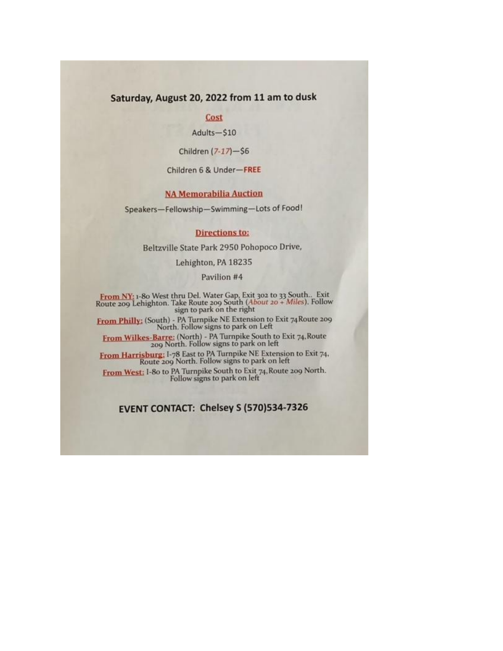### Saturday, August 20, 2022 from 11 am to dusk

### Cost

Adults-\$10

Children (7-17)-\$6

Children 6 & Under-FREE

### **NA Memorabilia Auction**

Speakers-Fellowship-Swimming-Lots of Food!

#### **Directions to:**

Beltzville State Park 2950 Pohopoco Drive,

Lehighton, PA 18235

Pavilion #4

**From NY:** 1-80 West thru Del. Water Gap, Exit 302 to 33 South... Exit Route 209 Lehighton. Take Route 209 South  $(About 20 + Miles)$ . Follow sign to park on the right

From Philly: (South) - PA Turnpike NE Extension to Exit 74 Route 209<br>North, Follow signs to park on Left

From Wilkes-Barre: (North) - PA Turnpike South to Exit 74, Route<br>209 North. Follow signs to park on left

From Harrisburg: I-78 East to PA Turnpike NE Extension to Exit 74,<br>Route 209 North. Follow signs to park on left

From West: I-80 to PA Turnpike South to Exit 74, Route 209 North.<br>Follow signs to park on left

### EVENT CONTACT: Chelsey S (570)534-7326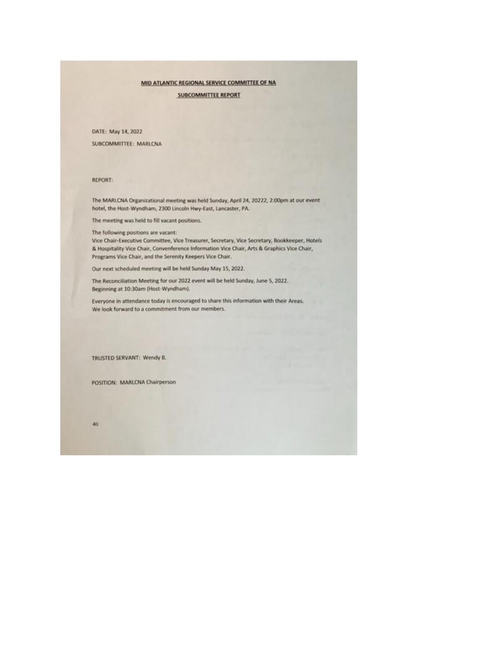#### MID ATLANTIC REGIONAL SERVICE COMMITTEE OF NA

**SUBCOMMITTEE REPORT** 

DATE: May 14, 2022

SUBCOMMITTEE: MARLCNA

REPORT:

The MARLCNA Organizational meeting was held Sunday, April 24, 20222, 2:00pm at our event hotel, the Host-Wyndham, 2300 Lincoln Hwy-East, Lancaster, PA.

The meeting was held to fill vacant positions.

The following positions are vacant:

Vice Chair-Executive Committee, Vice Treasurer, Secretary, Vice Secretary, Bookkeeper, Hotels & Hospitality Vice Chair, Convenference Information Vice Chair, Arts & Graphics Vice Chair, Programs Vice Chair, and the Serenity Keepers Vice Chair.

Our next scheduled meeting will be held Sunday May 15, 2022.

The Reconciliation Meeting for our 2022 event will be held Sunday, June 5, 2022. Beginning at 10:30am (Host-Wyndham).

Everyone in attendance today is encouraged to share this information with their Areas. We look forward to a commitment from our members.

TRUSTED SERVANT: Wendy B.

POSITION: MARLCNA Chairperson